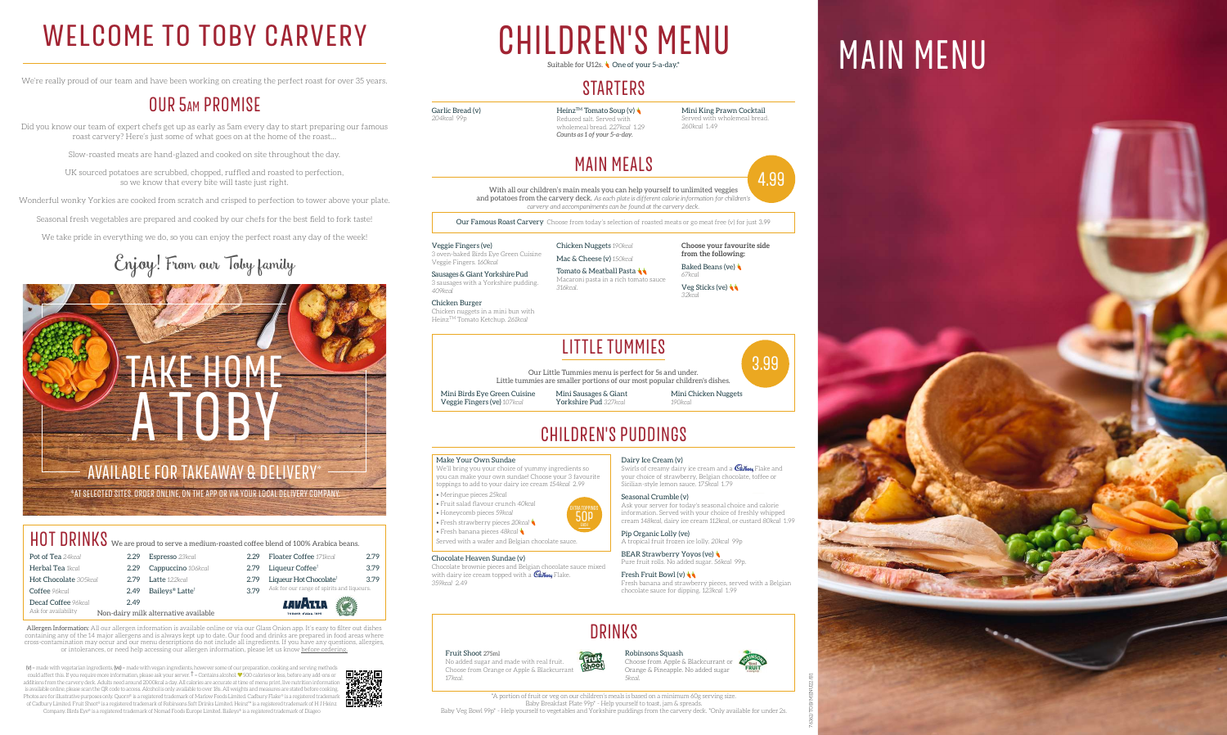# DRINKS

Fruit Shoot 275ml No added sugar and made with real fruit. Choose from Orange or Apple & Blackcurrant *17kcal*.

Choose from Apple & Blackcurrant or Orange & Pineapple. No added sugar *5kcal*.

#### Robinsons Squash

 $(v)$  = made with vegetarian ingredients,  $(ve)$  = made with vegan ingredients, however some of our preparation, cooking and serving methods could affect this. If you require more information, please ask your server.  $\dagger$  = Contains alcohol.  $\blacktriangledown$  500 calories or less, before any add-ons or additions from the carvery deck. Adults need around 2000kcal a day. All calories are accurate at time of menu print, live nutrition information is available online, please scan the QR code to access. Alcohol is only available to over 18s. All weights and measures are stated before cooking. Photos are for illustrative purposes only. Quorn® is a registered trademark of Marlow Foods Limited. Cadbury Flake® is a registered tradema of Cadbury Limited. Fruit Shoot® is a registered trademark of Robinsons Soft Drinks Limited. Heinz™ is a registered trademark of H J Heinz

Heinz<sup>TM</sup> Tomato Soup (v) Reduced salt. Served with wholemeal bread. *227kcal* 1.29 *Counts as 1 of your 5-a-day.*

Company. Birds Eye® is a registered trademark of Nomad Foods Europe Limited. Baileys® is a registered trademark of Diageo

### WELCOME TO TOBY CARVERY CHILDREN'S MENU MAIN MENU CHILDREN'S MENU Suitable for U12s. **One of your 5-a-day.**

### **STARTERS**

We're really proud of our team and have been working on creating the perfect roast for over 35 years.

### OUR 5am PROMISE

Did you know our team of expert chefs get up as early as 5am every day to start preparing our famous roast carvery? Here's just some of what goes on at the home of the roast…

> Tomato & Meatball Pasta Macaroni pasta in a rich tomato sauce *316kcal*.

**Choose your favourite side from the following:** Baked Beans (ve)

Slow-roasted meats are hand-glazed and cooked on site throughout the day.

UK sourced potatoes are scrubbed, chopped, ruffled and roasted to perfection, so we know that every bite will taste just right.

Wonderful wonky Yorkies are cooked from scratch and crisped to perfection to tower above your plate.

Seasonal fresh vegetables are prepared and cooked by our chefs for the best field to fork taste!

Swirls of creamy dairy ice cream and a  $\mathcal{C}_{\mathit{abbuvy}}$  Flake and your choice of strawberry, Belgian chocolate, toffee or



We take pride in everything we do, so you can enjoy the perfect roast any day of the week!

# Enjoy! From our Toby family

BEAR Strawberry Yoyos (ve) Pure fruit rolls. No added sugar. *56kcal* 99p.

Garlic Bread (v)

*204kcal* 99p

**Fresh Fruit Bowl (v)** Fresh banana and strawberry pieces, served with a Belgian chocolate sauce for dipping. *123kcal* 1.99



*260kcal* 1.49

# MAIN MEALS

With all our children's main meals you can help yourself to unlimited veggies and potatoes from the carvery deck. *As each plate is different calorie information for children's carvery and accompaniments can be found at the carvery deck.*

Our Famous Roast Carvery Choose from today's selection of roasted meats or go meat free (v) for just 3.99

Veggie Fingers (ve) 3 oven-baked Birds Eye Green Cuisine Veggie Fingers. *160kcal*

#### HOT DRINKS We are proud to serve a medium-roasted coffee blend of 100% Arabica beans. Pot of Tea 24kcal Floater Coffee *171kcal* 2.79 Espresso *23kcal* 2.29 **Herbal Tea** 1kcal 2.79 Liqueur Coffee<sup>†</sup> 3.79 2.29 Cappuccino 106kcal Hot Chocolate *305kcal* 2.79 Latte 122kcal 2.79 Liqueur Hot Chocolate<sup>†</sup> 3.79 Ask for our range of spirits and liqueurs. Coffee *96kcal* 2.49 Baileys® Latte† 3.79 Decaf Coffee *96kcal* 2.49 *LAVI*RIA Ask for availability Non-dairy milk alternative available

Sausages & Giant Yorkshire Pud 3 sausages with a Yorkshire pudding. *409kcal*

Chicken Burger Chicken nuggets in a mini bun with HeinzTM Tomato Ketchup. *261kcal*

Chicken Nuggets *190kcal* Mac & Cheese (v) *150kcal*

> TRA TOPPIN<br>**50p** EXTRA TOPPINGS





*67kcal* Veg Sticks (ve) *32kcal*

# CHILDREN'S PUDDINGS

#### Make Your Own Sundae

We'll bring you your choice of yummy ingredients so you can make your own sundae! Choose your 3 favourite toppings to add to your dairy ice cream *154kcal* 2.99

- Meringue pieces *25kcal*
- Fruit salad flavour crunch *40kcal*
- Honeycomb pieces *59kcal*
- Fresh strawberry pieces *20kcal*
- Fresh banana pieces *48kcal*

Served with a wafer and Belgian chocolate sauce.

#### Chocolate Heaven Sundae (v)

Chocolate brownie pieces and Belgian chocolate sauce mixed with dairy ice cream topped with a **Cabury** Flake. *359kcal* 2.49

Dairy Ice Cream (v)

Sicilian-style lemon sauce. *175kcal* 1.79 Seasonal Crumble (v) Ask your server for today's seasonal choice and calorie

information. Served with your choice of freshly whipped cream *148kcal*, dairy ice cream *112kcal*, or custard *80kcal* 1.99

Pip Organic Lolly (ve) A tropical fruit frozen ice lolly. *20kcal* 99p

# LITTLE TUMMIES

Our Little Tummies menu is perfect for 5s and under. Little tummies are smaller portions of our most popular children's dishes.



Mini Birds Eye Green Cuisine Veggie Fingers (ve) *107kcal*

Mini Sausages & Giant Yorkshire Pud *327kcal*

Mini Chicken Nuggets *190kcal*

\*AT SELECTED SITES. ORDER ONLINE, ON THE APP OR VIA YOUR LOCAL DELIVERY COMPANY.



\*A portion of fruit or veg on our children's meals is based on a minimum 60g serving size. Baby Breakfast Plate 99p\* - Help yourself to toast, jam & spreads. Baby Veg Bowl 99p\* - Help yourself to vegetables and Yorkshire puddings from the carvery deck. \*Only available for under 2s.







Allergen Information: All our allergen information is available online or via our Glass Onion app. It's easy to filter out dishes containing any of the 14 major allergens and is always kept up to date. Our food and drinks are prepared in food areas where cross-contamination may occur and our menu descriptions do not include all ingredients. If you have any questions, allergies, or intolerances, or need help accessing our allergen information, please let us know before ordering.